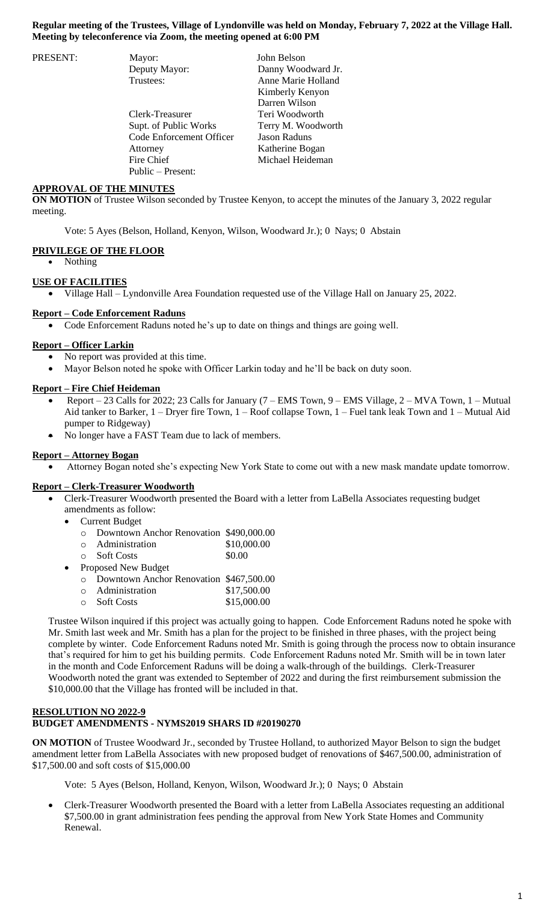### **Regular meeting of the Trustees, Village of Lyndonville was held on Monday, February 7, 2022 at the Village Hall. Meeting by teleconference via Zoom, the meeting opened at 6:00 PM**

| PRESENT: | Mayor:                   | John Belson         |
|----------|--------------------------|---------------------|
|          | Deputy Mayor:            | Danny Woodward Jr.  |
|          | Trustees:                | Anne Marie Holland  |
|          |                          | Kimberly Kenyon     |
|          |                          | Darren Wilson       |
|          | Clerk-Treasurer          | Teri Woodworth      |
|          | Supt. of Public Works    | Terry M. Woodworth  |
|          | Code Enforcement Officer | <b>Jason Raduns</b> |
|          | Attorney                 | Katherine Bogan     |
|          | Fire Chief               | Michael Heideman    |
|          | Public – Present:        |                     |

### **APPROVAL OF THE MINUTES**

**ON MOTION** of Trustee Wilson seconded by Trustee Kenyon, to accept the minutes of the January 3, 2022 regular meeting.

Vote: 5 Ayes (Belson, Holland, Kenyon, Wilson, Woodward Jr.); 0 Nays; 0 Abstain

#### **PRIVILEGE OF THE FLOOR**

• Nothing

#### **USE OF FACILITIES**

Village Hall – Lyndonville Area Foundation requested use of the Village Hall on January 25, 2022.

### **Report – Code Enforcement Raduns**

Code Enforcement Raduns noted he's up to date on things and things are going well.

### **Report – Officer Larkin**

- No report was provided at this time.
- Mayor Belson noted he spoke with Officer Larkin today and he'll be back on duty soon.

### **Report – Fire Chief Heideman**

- Report 23 Calls for 2022; 23 Calls for January (7 EMS Town, 9 EMS Village, 2 MVA Town, 1 Mutual Aid tanker to Barker, 1 – Dryer fire Town, 1 – Roof collapse Town, 1 – Fuel tank leak Town and 1 – Mutual Aid pumper to Ridgeway)
- No longer have a FAST Team due to lack of members.

#### **Report – Attorney Bogan**

Attorney Bogan noted she's expecting New York State to come out with a new mask mandate update tomorrow.

#### **Report – Clerk-Treasurer Woodworth**

- Clerk-Treasurer Woodworth presented the Board with a letter from LaBella Associates requesting budget amendments as follow:
	- Current Budget
		- o Downtown Anchor Renovation \$490,000.00
		- o Administration \$10,000.00
	- o Soft Costs \$0.00
	- Proposed New Budget
		- o Downtown Anchor Renovation \$467,500.00
		- o Administration \$17,500.00
		- o Soft Costs \$15,000.00

Trustee Wilson inquired if this project was actually going to happen. Code Enforcement Raduns noted he spoke with Mr. Smith last week and Mr. Smith has a plan for the project to be finished in three phases, with the project being complete by winter. Code Enforcement Raduns noted Mr. Smith is going through the process now to obtain insurance that's required for him to get his building permits. Code Enforcement Raduns noted Mr. Smith will be in town later in the month and Code Enforcement Raduns will be doing a walk-through of the buildings. Clerk-Treasurer Woodworth noted the grant was extended to September of 2022 and during the first reimbursement submission the \$10,000.00 that the Village has fronted will be included in that.

### **RESOLUTION NO 2022-9 BUDGET AMENDMENTS - NYMS2019 SHARS ID #20190270**

**ON MOTION** of Trustee Woodward Jr., seconded by Trustee Holland, to authorized Mayor Belson to sign the budget amendment letter from LaBella Associates with new proposed budget of renovations of \$467,500.00, administration of \$17,500.00 and soft costs of \$15,000.00

Vote: 5 Ayes (Belson, Holland, Kenyon, Wilson, Woodward Jr.); 0 Nays; 0 Abstain

 Clerk-Treasurer Woodworth presented the Board with a letter from LaBella Associates requesting an additional \$7,500.00 in grant administration fees pending the approval from New York State Homes and Community Renewal.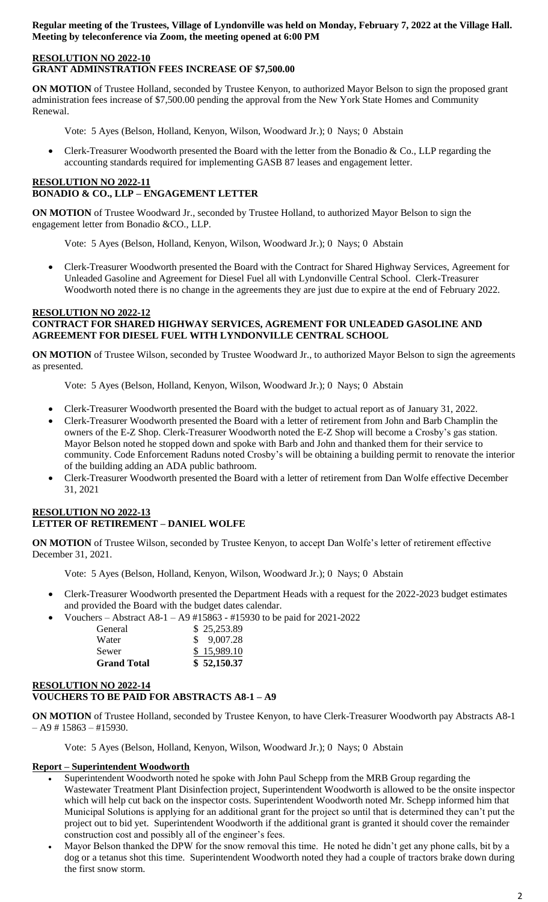**Regular meeting of the Trustees, Village of Lyndonville was held on Monday, February 7, 2022 at the Village Hall. Meeting by teleconference via Zoom, the meeting opened at 6:00 PM**

### **RESOLUTION NO 2022-10 GRANT ADMINSTRATION FEES INCREASE OF \$7,500.00**

**ON MOTION** of Trustee Holland, seconded by Trustee Kenyon, to authorized Mayor Belson to sign the proposed grant administration fees increase of \$7,500.00 pending the approval from the New York State Homes and Community Renewal.

Vote: 5 Ayes (Belson, Holland, Kenyon, Wilson, Woodward Jr.); 0 Nays; 0 Abstain

 Clerk-Treasurer Woodworth presented the Board with the letter from the Bonadio & Co., LLP regarding the accounting standards required for implementing GASB 87 leases and engagement letter.

# **RESOLUTION NO 2022-11 BONADIO & CO., LLP – ENGAGEMENT LETTER**

**ON MOTION** of Trustee Woodward Jr., seconded by Trustee Holland, to authorized Mayor Belson to sign the engagement letter from Bonadio &CO., LLP.

Vote: 5 Ayes (Belson, Holland, Kenyon, Wilson, Woodward Jr.); 0 Nays; 0 Abstain

 Clerk-Treasurer Woodworth presented the Board with the Contract for Shared Highway Services, Agreement for Unleaded Gasoline and Agreement for Diesel Fuel all with Lyndonville Central School. Clerk-Treasurer Woodworth noted there is no change in the agreements they are just due to expire at the end of February 2022.

### **RESOLUTION NO 2022-12 CONTRACT FOR SHARED HIGHWAY SERVICES, AGREMENT FOR UNLEADED GASOLINE AND AGREEMENT FOR DIESEL FUEL WITH LYNDONVILLE CENTRAL SCHOOL**

**ON MOTION** of Trustee Wilson, seconded by Trustee Woodward Jr., to authorized Mayor Belson to sign the agreements as presented.

Vote: 5 Ayes (Belson, Holland, Kenyon, Wilson, Woodward Jr.); 0 Nays; 0 Abstain

- Clerk-Treasurer Woodworth presented the Board with the budget to actual report as of January 31, 2022.
- Clerk-Treasurer Woodworth presented the Board with a letter of retirement from John and Barb Champlin the owners of the E-Z Shop. Clerk-Treasurer Woodworth noted the E-Z Shop will become a Crosby's gas station. Mayor Belson noted he stopped down and spoke with Barb and John and thanked them for their service to community. Code Enforcement Raduns noted Crosby's will be obtaining a building permit to renovate the interior of the building adding an ADA public bathroom.
- Clerk-Treasurer Woodworth presented the Board with a letter of retirement from Dan Wolfe effective December 31, 2021

# **RESOLUTION NO 2022-13 LETTER OF RETIREMENT – DANIEL WOLFE**

**ON MOTION** of Trustee Wilson, seconded by Trustee Kenyon, to accept Dan Wolfe's letter of retirement effective December 31, 2021.

Vote: 5 Ayes (Belson, Holland, Kenyon, Wilson, Woodward Jr.); 0 Nays; 0 Abstain

- Clerk-Treasurer Woodworth presented the Department Heads with a request for the 2022-2023 budget estimates and provided the Board with the budget dates calendar.
- Vouchers Abstract A8-1 A9 #15863 #15930 to be paid for 2021-2022

| <b>Grand Total</b> | \$52,150.37 |
|--------------------|-------------|
| Sewer              | \$15,989.10 |
| Water              | \$9,007.28  |
| General            | \$25,253.89 |
|                    |             |

## **RESOLUTION NO 2022-14 VOUCHERS TO BE PAID FOR ABSTRACTS A8-1 – A9**

**ON MOTION** of Trustee Holland, seconded by Trustee Kenyon, to have Clerk-Treasurer Woodworth pay Abstracts A8-1  $- A9 # 15863 - #15930.$ 

Vote: 5 Ayes (Belson, Holland, Kenyon, Wilson, Woodward Jr.); 0 Nays; 0 Abstain

## **Report – Superintendent Woodworth**

- Superintendent Woodworth noted he spoke with John Paul Schepp from the MRB Group regarding the Wastewater Treatment Plant Disinfection project, Superintendent Woodworth is allowed to be the onsite inspector which will help cut back on the inspector costs. Superintendent Woodworth noted Mr. Schepp informed him that Municipal Solutions is applying for an additional grant for the project so until that is determined they can't put the project out to bid yet. Superintendent Woodworth if the additional grant is granted it should cover the remainder construction cost and possibly all of the engineer's fees.
- Mayor Belson thanked the DPW for the snow removal this time. He noted he didn't get any phone calls, bit by a dog or a tetanus shot this time. Superintendent Woodworth noted they had a couple of tractors brake down during the first snow storm.